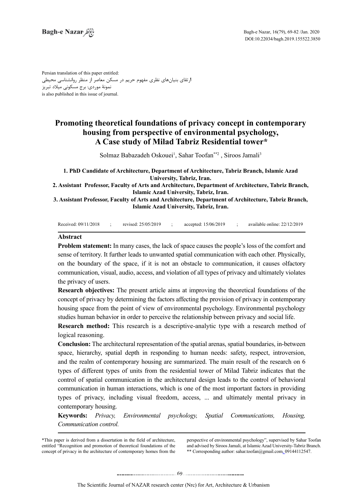Persian translation of this paper entitled: ارتقای بنیانهای نظری مفهوم حریم در مسکن معاصر از منظر روانشناسی محیطی نمونۀ موردی: برج مسکونی میالد تبریز is also published in this issue of journal.

# **Promoting theoretical foundations of privacy concept in contemporary** housing from perspective of environmental psychology, A Case study of Milad Tabriz Residential tower\*

Solmaz Babazadeh Oskouei<sup>1</sup>, Sahar Toofan\*\*<sup>2</sup>, Siroos Jamali<sup>3</sup>

1. PhD Candidate of Architecture, Department of Architecture, Tabriz Branch, Islamic Azad **University, Tabriz, Iran.** 

2. Assistant Professor, Faculty of Arts and Architecture, Department of Architecture, Tabriz Branch, **Islamic Azad University, Tabriz, Iran.** 

 **3. Assistant Professor, Faculty of Arts and Architecture, Department of Architecture, Tabriz Branch, Islamic Azad University, Tabriz, Iran.** 

Received: 09/11/2018 ; revised: 25/05/2019 ; accepted: 15/06/2019 ; available online: 22/12/2019

#### **Abstract**

Problem statement: In many cases, the lack of space causes the people's loss of the comfort and sense of territory. It further leads to unwanted spatial communication with each other. Physically, on the boundary of the space, if it is not an obstacle to communication, it causes olfactory communication, visual, audio, access, and violation of all types of privacy and ultimately violates the privacy of users.

**Research objectives:** The present article aims at improving the theoretical foundations of the concept of privacy by determining the factors affecting the provision of privacy in contemporary housing space from the point of view of environmental psychology. Environmental psychology studies human behavior in order to perceive the relationship between privacy and social life.

**Research method:** This research is a descriptive-analytic type with a research method of logical reasoning.

**Conclusion:** The architectural representation of the spatial arenas, spatial boundaries, in-between space, hierarchy, spatial depth in responding to human needs: safety, respect, introversion, and the realm of contemporary housing are summarized. The main result of the research on 6 types of different types of units from the residential tower of Milad Tabriz indicates that the control of spatial communication in the architectural design leads to the control of behavioral communication in human interactions, which is one of the most important factors in providing types of privacy, including visual freedom, access, ... and ultimately mental privacy in contemporary housing.

**Keywords:** *Privacy, Environmental psychology, Spatial Communications, Housing, .control Communication*

\*This paper is derived from a dissertation in the field of architecture. entitled "Recognition and promotion of theoretical foundations of the concept of privacy in the architecture of contemporary homes from the

perspective of environmental psychology", supervised by Sahar Toofan and advised by Siroos Jamali, at Islamic Azad University-Tabriz Branch. \*\* Corresponding author: sahar.toofan@gmail.com\_09144112547.

69 .......... ....... ........ ........... . .. . .........................................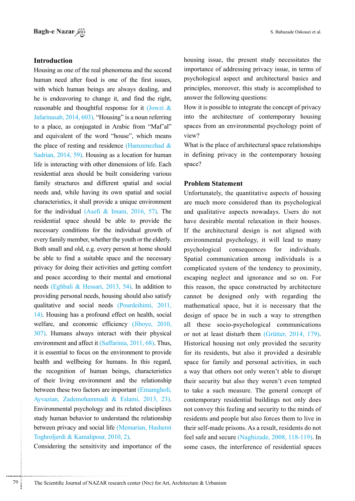# **Introduction**

Ayvazian, Zademohammadi & Eslami, 2013, 23). contemporary r<br>
Environmental psychology and its related disciplines not convey this<br>
study human behavior to understand the relationship residents and pe<br>
between privacy and s Housing as one of the real phenomena and the second human need after food is one of the first issues, with which human beings are always dealing, and he is endeavoring to change it, and find the right, reasonable and thoughtful response for it (Jowzi  $\&$ Jafarinasab, 2014, 603). "Housing" is a noun referring to a place, as conjugated in Arabic from "Maf'al" and equivalent of the word "house", which means the place of resting and residence (Hamzenezhad  $\&$ Sadrian,  $2014$ , 59). Housing as a location for human life is interacting with other dimensions of life. Each residential area should be built considering various family structures and different spatial and social needs and, while having its own spatial and social characteristics, it shall provide a unique environment for the individual (Asefi & Imani,  $2016$ , 57). The residential space should be able to provide the necessary conditions for the individual growth of every family member, whether the youth or the elderly. Both small and old, e.g. every person at home should be able to find a suitable space and the necessary privacy for doing their activities and getting comfort and peace according to their mental and emotional needs (Eghbali & Hessari, 2013, 54). In addition to providing personal needs, housing should also satisfy qualitative and social needs (Pourdeihimi, 2011,  $14$ ). Housing has a profound effect on health, social welfare, and economic efficiency (Jiboye, 2010, 307). Humans always interact with their physical environment and affect it  $(Saffarinia, 2011, 68)$ . Thus, it is essential to focus on the environment to provide health and wellbeing for humans. In this regard, the recognition of human beings, characteristics of their living environment and the relationship between these two factors are important (Emamgholi, Ayvazian, Zademohammadi & Eslami, 2013, 23). Environmental psychology and its related disciplines study human behavior to understand the relationship between privacy and social life (Memarian, Hashemi Toghroljerdi & Kamalipour,  $2010, 2$ ).

Considering the sensitivity and importance of the

housing issue, the present study necessitates the importance of addressing privacy issue, in terms of psychological aspect and architectural basics and principles, moreover, this study is accomplished to answer the following questions:

How it is possible to integrate the concept of privacy into the architecture of contemporary housing spaces from an environmental psychology point of view?

What is the place of architectural space relationships in defining privacy in the contemporary housing space?

#### **Statement Problem**

Unfortunately, the quantitative aspects of housing are much more considered than its psychological and qualitative aspects nowadays. Users do not have desirable mental relaxation in their houses. If the architectural design is not aligned with environmental psychology, it will lead to many psychological consequences for individuals. Spatial communication among individuals is a complicated system of the tendency to proximity, escaping neglect and ignorance and so on. For this reason, the space constructed by architecture cannot be designed only with regarding the mathematical space, but it is necessary that the design of space be in such a way to strengthen all these socio-psychological communications or not at least disturb them (Grütter, 2014, 179). Historical housing not only provided the security for its residents, but also it provided a desirable space for family and personal activities, in such a way that others not only weren't able to disrupt their security but also they weren't even tempted to take a such measure. The general concept of contemporary residential buildings not only does not convey this feeling and security to the minds of residents and people but also forces them to live in their self-made prisons. As a result, residents do not feel safe and secure (Naghizade,  $2008$ ,  $118-119$ ). In some cases, the interference of residential spaces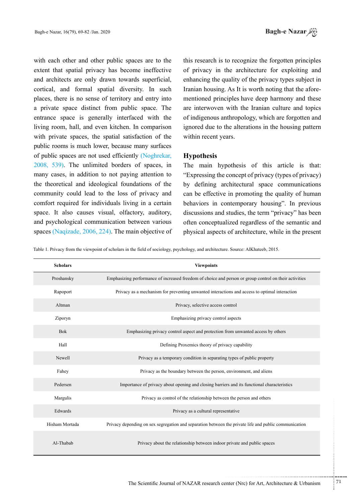with each other and other public spaces are to the extent that spatial privacy has become ineffective and architects are only drawn towards superficial, cortical, and formal spatial diversity. In such places, there is no sense of territory and entry into a private space distinct from public space. The entrance space is generally interfaced with the living room, hall, and even kitchen. In comparison with private spaces, the spatial satisfaction of the public rooms is much lower, because many surfaces of public spaces are not used efficiently (Noghrekar,  $2008$ ,  $539$ ). The unlimited borders of spaces, in many cases, in addition to not paying attention to the theoretical and ideological foundations of the community could lead to the loss of privacy and comfort required for individuals living in a certain space. It also causes visual, olfactory, auditory, and psychological communication between various spaces (Naqizade, 2006, 224). The main objective of this research is to recognize the forgotten principles of privacy in the architecture for exploiting and enhancing the quality of the privacy types subject in mentioned principles have deep harmony and these Iranian housing. As It is worth noting that the aforeare interwoven with the Iranian culture and topics of indigenous anthropology, which are forgotten and ignored due to the alterations in the housing pattern within recent years.

# **Hypothesis**

The main hypothesis of this article is that: "Expressing the concept of privacy (types of privacy) by defining architectural space communications can be effective in promoting the quality of human behaviors in contemporary housing". In previous discussions and studies, the term "privacy" has been often conceptualized regardless of the semantic and physical aspects of architecture, while in the present

Table 1. Privacy from the viewpoint of scholars in the field of sociology, psychology, and architecture. Source: AlKhateeb, 2015.

| <b>Scholars</b> | <b>Viewpoints</b>                                                                                      |  |
|-----------------|--------------------------------------------------------------------------------------------------------|--|
| Proshansky      | Emphasizing performance of increased freedom of choice and person or group control on their activities |  |
| Rapoport        | Privacy as a mechanism for preventing unwanted interactions and access to optimal interaction          |  |
| Altman          | Privacy, selective access control                                                                      |  |
| Ziporyn         | Emphasizing privacy control aspects                                                                    |  |
| <b>Bok</b>      | Emphasizing privacy control aspect and protection from unwanted access by others                       |  |
| Hall            | Defining Proxemics theory of privacy capability                                                        |  |
| Newell          | Privacy as a temporary condition in separating types of public property                                |  |
| Fahey           | Privacy as the boundary between the person, environment, and aliens                                    |  |
| Pedersen        | Importance of privacy about opening and closing barriers and its functional characteristics            |  |
| Margulis        | Privacy as control of the relationship between the person and others                                   |  |
| Edwards         | Privacy as a cultural representative                                                                   |  |
| Hisham Mortada  | Privacy depending on sex segregation and separation between the private life and public communication  |  |
| Al-Thabab       | Privacy about the relationship between indoor private and public spaces                                |  |

...........................................................

.......... ....... ........ ........... ...... ....... ........ .......... ...........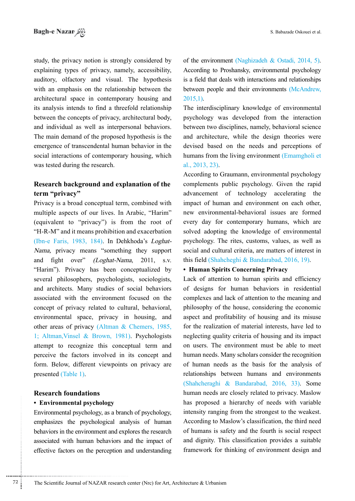study, the privacy notion is strongly considered by explaining types of privacy, namely, accessibility, auditory, olfactory and visual. The hypothesis with an emphasis on the relationship between the architectural space in contemporary housing and its analysis intends to find a threefold relationship between the concepts of privacy, architectural body, and individual as well as interpersonal behaviors. The main demand of the proposed hypothesis is the emergence of transcendental human behavior in the social interactions of contemporary housing, which was tested during the research.

# **Research background and explanation of the** term "privacy"

Privacy is a broad conceptual term, combined with multiple aspects of our lives. In Arabic, "Harim" (equivalent to "privacy") is from the root of  $H-R-M"$  and it means prohibition and exacerbation Nama, privacy means "something they support (Ibn-e Faris, 1983, 184). In Dehkhoda's Loghatand fight over"  $(Loghat-Nama, 2011, s.v.$ "Harim"). Privacy has been conceptualized by several philosophers, psychologists, sociologists, and architects. Many studies of social behaviors associated with the environment focused on the concept of privacy related to cultural, behavioral, environmental space, privacy in housing, and other areas of privacy (Altman  $\&$  Chemers, 1985, 1; Altman, Vinsel, & Brown, 1981). Psychologists attempt to recognize this conceptual term and perceive the factors involved in its concept and form. Below, different viewpoints on privacy are presented (Table 1).

### **Research foundations**

#### **• Environmental psychology**

• Environmental psychology has proposed a<br>
Environmental psychology, as a branch of psychology, intensity ranging<br>
emphasizes the psychological analysis of human According to Mi<br>
behaviors in the environment and explores t Environmental psychology, as a branch of psychology, emphasizes the psychological analysis of human behaviors in the environment and explores the research associated with human behaviors and the impact of effective factors on the perception and understanding

of the environment (Naghizadeh & Ostadi, 2014, 5). According to Proshansky, environmental psychology is a field that deals with interactions and relationships between people and their environments (McAndrew,  $2015,1$ ).

The interdisciplinary knowledge of environmental psychology was developed from the interaction between two disciplines, namely, behavioral science and architecture, while the design theories were devised based on the needs and perceptions of humans from the living environment (Emamgholi et  $al., 2013, 23).$ 

According to Graumann, environmental psychology complements public psychology. Given the rapid advancement of technology accelerating the impact of human and environment on each other, new environmental-behavioral issues are formed every day for contemporary humans, which are solved adopting the knowledge of environmental psychology. The rites, customs, values, as well as social and cultural criteria, are matters of interest in this field (Shahcheghi & Bandarabad,  $2016$ , 19).

## **• Human Spirits Concerning Privacy**

Lack of attention to human spirits and efficiency of designs for human behaviors in residential complexes and lack of attention to the meaning and philosophy of the house, considering the economic aspect and profitability of housing and its misuse for the realization of material interests, have led to neglecting quality criteria of housing and its impact on users. The environment must be able to meet human needs. Many scholars consider the recognition of human needs as the basis for the analysis of relationships between humans and environments  $(Shahcheraghi & Bandarabad, 2016, 33)$ . Some human needs are closely related to privacy. Maslow has proposed a hierarchy of needs with variable intensity ranging from the strongest to the weakest. According to Maslow's classification, the third need of humans is safety and the fourth is social respect and dignity. This classification provides a suitable framework for thinking of environment design and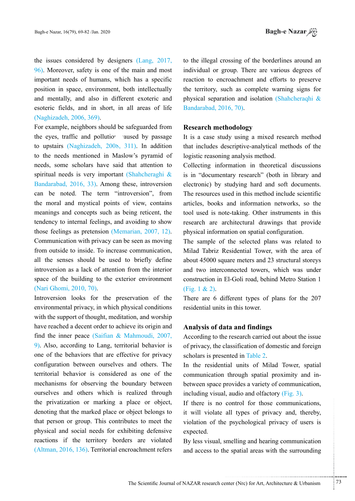the issues considered by designers  $(Lang, 2017,$  $96$ . Moreover, safety is one of the main and most important needs of humans, which has a specific position in space, environment, both intellectually and mentally, and also in different exoteric and esoteric fields, and in short, in all areas of life (Naghizadeh, 2006, 369).

For example, neighbors should be safeguarded from the eyes, traffic and pollution and transage by passage to upstairs (Naghizadeh, 2008, 311). In addition to the needs mentioned in Maslow's pyramid of needs, some scholars have said that attention to spiritual needs is very important (Shahcheraghi  $\&$ Bandarabad, 2016, 33). Among these, introversion can be noted. The term "introversion", from the moral and mystical points of view, contains meanings and concepts such as being reticent, the tendency to internal feelings, and avoiding to show those feelings as pretension (Memarian, 2007, 12). Communication with privacy can be seen as moving from outside to inside. To increase communication, all the senses should be used to briefly define introversion as a lack of attention from the interior space of the building to the exterior environment (Nari Ghomi, 2010, 70).

Introversion looks for the preservation of the environmental privacy, in which physical conditions with the support of thought, meditation, and worship have reached a decent order to achieve its origin and find the inner peace (Saifian  $& \text{Mahmoudi}$ , 2007,  $\frac{9}{9}$ . Also, according to Lang, territorial behavior is one of the behaviors that are effective for privacy configuration between ourselves and others. The territorial behavior is considered as one of the mechanisms for observing the boundary between ourselves and others which is realized through the privatization or marking a place or object, denoting that the marked place or object belongs to that person or group. This contributes to meet the physical and social needs for exhibiting defensive reactions if the territory borders are violated  $(Altman, 2016, 136)$ . Territorial encroachment refers

to the illegal crossing of the borderlines around an individual or group. There are various degrees of reaction to encroachment and efforts to preserve the territory, such as complete warning signs for physical separation and isolation (Shahcheraqhi  $\&$ Bandarabad, 2016, 70).

# **methodology Research**

It is a case study using a mixed research method that includes descriptive-analytical methods of the logistic reasoning analysis method.

Collecting information in theoretical discussions is in "documentary research" (both in library and electronic) by studying hard and soft documents. The resources used in this method include scientific articles, books and information networks, so the tool used is note-taking. Other instruments in this research are architectural drawings that provide physical information on spatial configuration.

The sample of the selected plans was related to Milad Tabriz Residential Tower, with the area of about 45000 square meters and 23 structural storevs and two interconnected towers, which was under construction in El-Goli road, behind Metro Station 1  $(Fig. 1 & 2)$ .

There are 6 different types of plans for the  $207$ residential units in this tower.

## **finally and findings**

According to the research carried out about the issue of privacy, the classification of domestic and foreign scholars is presented in Table 2.

In the residential units of Milad Tower, spatial between space provides a variety of communication, communication through spatial proximity and inincluding visual, audio and olfactory  $(Fig. 3)$ .

If there is no control for those communications. it will violate all types of privacy and, thereby, violation of the psychological privacy of users is expected.

By less visual, smelling and hearing communication and access to the spatial areas with the surrounding

.......... ....... ........ ........... ...... ....... ........ .......... ...........

...........................................................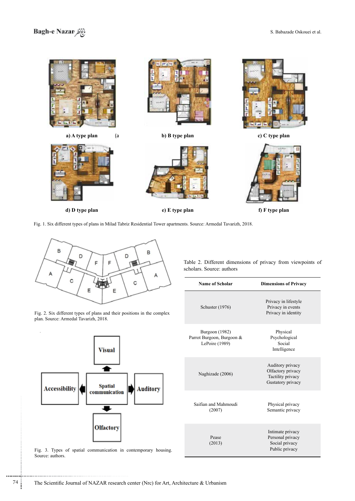



**c**) **E type plan c plan c plan c p f f F type plan** 

Fig. 1. Six different types of plans in Milad Tabriz Residential Tower apartments. Source: Armedal Tavarizh, 2018.



Fig. 2. Six different types of plans and their positions in the complex plan. Source: Armedal Tavarizh, 2018.



Fig. 3. Types of spatial communication in contemporary housing. Source: authors.

Table 2. Different dimensions of privacy from viewpoints of scholars. Source: authors

| Name of Scholar                                                      | <b>Dimensions of Privacy</b>                                                    |  |
|----------------------------------------------------------------------|---------------------------------------------------------------------------------|--|
| Schuster (1976)                                                      | Privacy in lifestyle<br>Privacy in events<br>Privacy in identity                |  |
| <b>Burgoon</b> (1982)<br>Parrot Burgoon, Burgoon &<br>LePoire (1989) | Physical<br>Psychological<br>Social<br>Intelligence                             |  |
| Naghizade (2006)                                                     | Auditory privacy<br>Olfactory privacy<br>Tactility privacy<br>Gustatory privacy |  |
| Saifian and Mahmoudi<br>(2007)                                       | Physical privacy<br>Semantic privacy                                            |  |
| Pease<br>(2013)                                                      | Intimate privacy<br>Personal privacy<br>Social privacy<br>Public privacy        |  |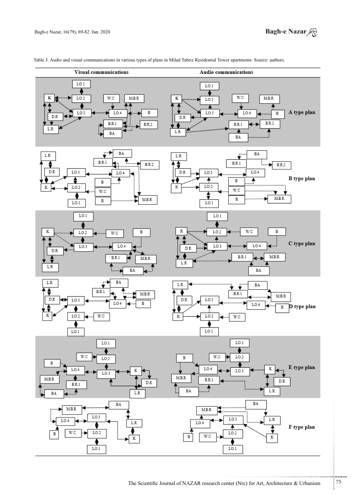

Table 3. Audio and visual communications in various types of plans in Milad Tabriz Residential Tower apartments. Source: authors.

The Scientific Journal of NAZAR research center (Nrc) for Art, Architecture & Urbanism  $^{75}$ 

...........................................................

.......... ....... ........ ........... ...... ....... ........ .......... ...........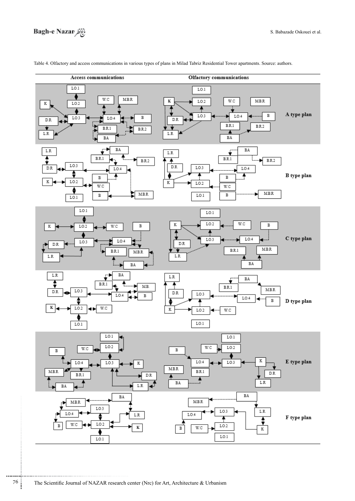

Table 4. Olfactory and access communications in various types of plans in Milad Tabriz Residential Tower apartments. Source: authors.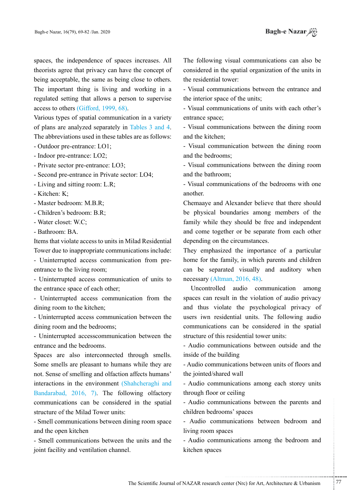spaces, the independence of spaces increases. All theorists agree that privacy can have the concept of being acceptable, the same as being close to others. The important thing is living and working in a regulated setting that allows a person to supervise access to others  $(Gifford, 1999, 68)$ .

Various types of spatial communication in a variety of plans are analyzed separately in Tables 3 and 4. The abbreviations used in these tables are as follows:

- Outdoor pre-entrance: LO1;

- Indoor pre-entrance: LO2;

- Private sector pre-entrance: LO3;

- Second pre-entrance in Private sector: LO4;

- Living and sitting room: L.R;

 $-Kitchen: K:$ 

- Master bedroom: M.B.R:

- Children's bedroom: B.R;

- Water closet: W.C:

- Bathroom: BA.

Items that violate access to units in Milad Residential

Tower due to inappropriate communications include: - Uninterrupted access communication from pre-<br>entrance to the living room;

- Uninterrupted access communication of units to the entrance space of each other;

- Uninterrupted access communication from the dining room to the kitchen;

- Uninterrupted access communication between the dining room and the bedrooms;

- Uninterrupted accesscommunication between the entrance and the bedrooms.

Spaces are also interconnected through smells. Some smells are pleasant to humans while they are not. Sense of smelling and olfaction affects humans' interactions in the environment (Shahcheraghi and Bandarabad,  $2016$ , 7). The following olfactory communications can be considered in the spatial structure of the Milad Tower units:

- Smell communications between dining room space and the open kitchen

- Smell communications between the units and the joint facility and ventilation channel.

The following visual communications can also be considered in the spatial organization of the units in the residential tower:

- Visual communications between the entrance and the interior space of the units;

- Visual communications of units with each other's entrance space:

- Visual communications between the dining room and the kitchen;

- Visual communication between the dining room and the bedrooms:

- Visual communications between the dining room and the bathroom;

- Visual communications of the bedrooms with one .another

Chemaaye and Alexander believe that there should be physical boundaries among members of the family while they should be free and independent and come together or be separate from each other depending on the circumstances.

They emphasized the importance of a particular home for the family, in which parents and children can be separated visually and auditory when  $n$ ecessary (Altman, 2016, 48).

Uncontrolled audio communication among spaces can result in the violation of audio privacy and thus violate the psychological privacy of users iwn residential units. The following audio communications can be considered in the spatial structure of this residential tower units:

- Audio communications between outside and the inside of the building

- Audio communications between units of floors and the jointed/shared wall

- Audio communications among each storey units through floor or ceiling

- Audio communications between the parents and children bedrooms' spaces

- Audio communications between bedroom and living room spaces

- Audio communications among the bedroom and kitchen spaces

.......... ....... ........ ........... ...... ....... ........ .......... ...........

...........................................................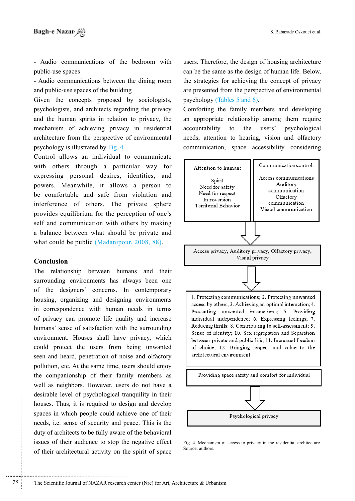- Audio communications of the bedroom with public-use spaces

- Audio communications between the dining room and public-use spaces of the building

Given the concepts proposed by sociologists, privacy privacy the privacy the privacy of and architects regarding the privacy and the human spirits in relation to privacy, the mechanism of achieving privacy in residential architecture from the perspective of environmental psychology is illustrated by Fig. 4.

Control allows an individual to communicate with others through a particular way for expressing personal desires, identities, and powers. Meanwhile, it allows a person to be comfortable and safe from violation and interference of others. The private sphere provides equilibrium for the perception of one's self and communication with others by making a balance between what should be private and what could be public (Madanipour,  $2008$ ,  $88$ ).

### **Conclusion**

..............................................................................

houses. Thus, it is required to design and develop<br>houses. Thus, it is required to design and develop<br>spaces in which people could achieve one of their<br>needs, i.e. sense of security and peace. This is the<br>duty of architect The relationship between humans and their surrounding environments has always been one of the designers' concerns. In contemporary housing, organizing and designing environments in correspondence with human needs in terms of privacy can promote life quality and increase humans' sense of satisfaction with the surrounding environment. Houses shall have privacy, which could protect the users from being unwanted seen and heard, penetration of noise and olfactory pollution, etc. At the same time, users should enjoy the companionship of their family members as well as neighbors. However, users do not have a desirable level of psychological tranquility in their houses. Thus, it is required to design and develop spaces in which people could achieve one of their needs, i.e. sense of security and peace. This is the duty of architects to be fully aware of the behavioral issues of their audience to stop the negative effect of their architectural activity on the spirit of space

users. Therefore, the design of housing architecture can be the same as the design of human life. Below, the strategies for achieving the concept of privacy are presented from the perspective of environmental psychology (Tables  $5$  and  $6$ ).

Comforting the family members and developing an appropriate relationship among them require accountability to the users' psychological needs, attention to hearing, vision and olfactory communication, space accessibility considering



Fig. 4. Mechanism of access to privacy in the residential architecture. Source: authors.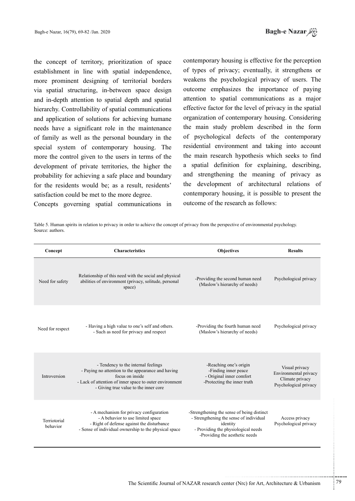the concept of territory, prioritization of space establishment in line with spatial independence, more prominent designing of territorial borders via spatial structuring, in-between space design and in-depth attention to spatial depth and spatial hierarchy. Controllability of spatial communications and application of solutions for achieving humane needs have a significant role in the maintenance of family as well as the personal boundary in the special system of contemporary housing. The more the control given to the users in terms of the development of private territories, the higher the probability for achieving a safe place and boundary for the residents would be; as a result, residents' satisfaction could be met to the more degree.

Concepts governing spatial communications in

contemporary housing is effective for the perception of types of privacy; eventually, it strengthens or weakens the psychological privacy of users. The outcome emphasizes the importance of paying attention to spatial communications as a major effective factor for the level of privacy in the spatial organization of contemporary housing. Considering the main study problem described in the form of psychological defects of the contemporary residential environment and taking into account the main research hypothesis which seeks to find a spatial definition for explaining, describing, and strengthening the meaning of privacy as the development of architectural relations of contemporary housing, it is possible to present the outcome of the research as follows:

Table 5. Human spirits in relation to privacy in order to achieve the concept of privacy from the perspective of environmental psychology. Source: authors

| Concept                  | <b>Characteristics</b>                                                                                                                                                                                           | <b>Objectives</b>                                                                                                                                                          | <b>Results</b>                                                                      |
|--------------------------|------------------------------------------------------------------------------------------------------------------------------------------------------------------------------------------------------------------|----------------------------------------------------------------------------------------------------------------------------------------------------------------------------|-------------------------------------------------------------------------------------|
| Need for safety          | Relationship of this need with the social and physical<br>abilities of environment (privacy, solitude, personal<br>space)                                                                                        | -Providing the second human need<br>(Maslow's hierarchy of needs)                                                                                                          | Psychological privacy                                                               |
| Need for respect         | - Having a high value to one's self and others.<br>- Such as need for privacy and respect                                                                                                                        | -Providing the fourth human need<br>(Maslow's hierarchy of needs)                                                                                                          | Psychological privacy                                                               |
| Introversion             | - Tendency to the internal feelings<br>- Paying no attention to the appearance and having<br>focus on inside<br>- Lack of attention of inner space to outer environment<br>- Giving true value to the inner core | -Reaching one's origin<br>-Finding inner peace<br>- Original inner comfort<br>-Protecting the inner truth                                                                  | Visual privacy<br>Environmental privacy<br>Climate privacy<br>Psychological privacy |
| Terriotorial<br>behavior | - A mechanism for privacy configuration<br>- A behavior to use limited space<br>- Right of defense against the disturbance<br>- Sense of individual ownership to the physical space                              | -Strengthening the sense of being distinct<br>- Strengthening the sense of individual<br>identity<br>- Providing the physiological needs<br>-Providing the aesthetic needs | Access privacy<br>Psychological privacy                                             |

...........................................................

.......... ....... ........ ........... ...... ....... ........ .......... ...........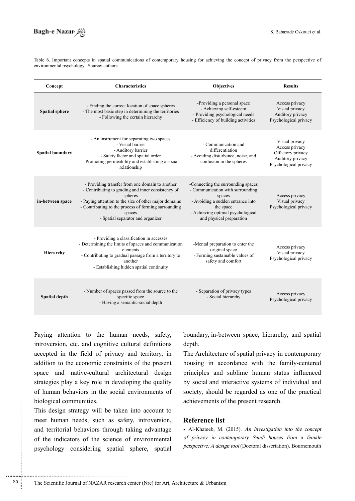

Table 6. Important concepts in spatial communications of contemporary housing for achieving the concept of privacy from the perspective of environmental psychology. Source: authors.

| Concept                 | <b>Characteristics</b>                                                                                                                                                                                                                                                           | <b>Objectives</b>                                                                                                                                                                                   | <b>Results</b>                                                                                     |
|-------------------------|----------------------------------------------------------------------------------------------------------------------------------------------------------------------------------------------------------------------------------------------------------------------------------|-----------------------------------------------------------------------------------------------------------------------------------------------------------------------------------------------------|----------------------------------------------------------------------------------------------------|
| <b>Spatial sphere</b>   | - Finding the correct location of space spheres<br>- The most basic step in determining the territories<br>- Following the certain hierarchy                                                                                                                                     | -Providing a personal space<br>- Achieving self-esteem<br>- Providing psychological needs<br>- Efficiency of building activities                                                                    | Access privacy<br>Visual privacy<br>Auditory privacy<br>Psychological privacy                      |
| <b>Spatial boundary</b> | - An instrument for separating two spaces<br>- Visual barrier<br>- Auditory barrier<br>- Safety factor and spatial order<br>- Promoting permeability and establishing a social<br>relationship                                                                                   | - Communication and<br>differentiation<br>- Avoiding disturbance, noise, and<br>confusion in the spheres                                                                                            | Visual privacy<br>Access privacy<br>Olfactory privacy<br>Auditory privacy<br>Psychological privacy |
| in-between space        | - Providing transfer from one domain to another<br>- Contributing to grading and inner consistency of<br>spheres<br>- Paying attention to the size of other major domains<br>- Contributing to the process of forming surrounding<br>spaces<br>- Spatial separator and organizer | -Connecting the surrounding spaces<br>- Communication with surrounding<br>spaces<br>- Avoiding a sudden entrance into<br>the space<br>- Achieving optimal psychological<br>and physical preparation | Access privacy<br>Visual privacy<br>Psychological privacy                                          |
| <b>Hierarchy</b>        | - Providing a classification in accesses<br>- Determining the limits of spaces and communication<br>elements<br>- Contributing to gradual passage from a territory to<br>another<br>- Establishing hidden spatial continuity                                                     | -Mental preparation to enter the<br>original space<br>- Forming sustainable values of<br>safety and comfort                                                                                         | Access privacy<br>Visual privacy<br>Psychological privacy                                          |
| Spatial depth           | - Number of spaces passed from the source to the<br>specific space<br>- Having a semantic-social depth                                                                                                                                                                           | - Separation of privacy types<br>- Social hierarchy                                                                                                                                                 | Access privacy<br>Psychological privacy                                                            |

Paying attention to the human needs, safety, introversion, etc. and cognitive cultural definitions accepted in the field of privacy and territory, in addition to the economic constraints of the present space and native-cultural architectural design strategies play a key role in developing the quality of human behaviors in the social environments of biological communities.

biological communities.<br>
This design strategy will be taken into account to<br>
meet human needs, such as safety, introversion,<br>
and territorial behaviors through taking advantage<br>
of the indicators of the science of environm This design strategy will be taken into account to meet human needs, such as safety, introversion, and territorial behaviors through taking advantage of the indicators of the science of environmental psychology considering spatial sphere, spatial

..............................................................................

boundary, in-between-space, hierarchy, and spatial depth.

The Architecture of spatial privacy in contemporary housing in accordance with the family-centered principles and sublime human status influenced by social and interactive systems of individual and society, should be regarded as one of the practical achievements of the present research.

# **Reference** list

• Al-Khateeb, M. (2015). An investigation into the concept of privacy in contemporary Saudi houses from a female perspective: A design tool (Doctoral dissertation). Bournemouth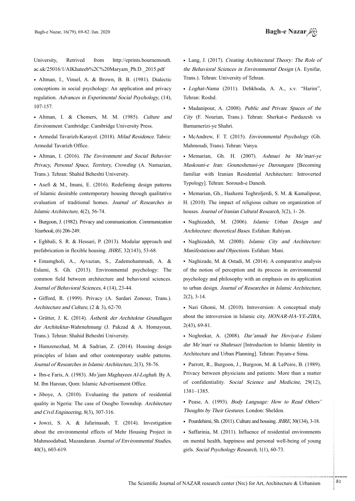University. Retrived from http://eprints.bournemouth. ac.uk/25016/1/AlKhateeb%2C%20Maryam\_Ph.D.\_2015.pdf

• Altman, I., Vinsel, A. & Brown, B. B. (1981). Dialectic conceptions in social psychology: An application and privacy regulation. Advances in Experimental Social Psychology, (14), 107-157.

• Altman, I. & Chemers, M. M. (1985). Culture and Environment. Cambridge: Cambridge University Press.

· Armedal Tavarizh-Karayol. (2018). Milad Residence. Tabriz: Armedal Tavarizh Office.

• Altman, I. (2016). The Environment and Social Behavior: Privacy, Personal Space, Territory, Crowding (A. Namazian, Trans.). Tehran: Shahid Beheshti University.

• Asefi & M., Imani, E. (2016). Redefining design patterns of Islamic desirable contemporary housing through qualitative evaluation of traditional homes. Journal of Researches in Islamic Architecture, 4(2), 56-74.

• Burgoon, J. (1982). Privacy and communication. Communication Yearbook, (6) 206-249.

• Eghbali, S. R. & Hessari, P. (2013). Modular approach and prefabrication in flexible housing. *JHRE*, 32(143), 53-68.

• Emamgholi, A., Ayvazian, S., Zademohammadi, A. & Eslami, S. Gh. (2013). Environmental psychology: The common field between architecture and behavioral sciences. Journal of Behavioral Sciences, 4 (14), 23-44.

• Gifford, R. (1999). Privacy (A. Sardari Zonouz, Trans.). Architecture and Culture,  $(2 \& 3)$ , 62-70.

Grütter, J. K. (2014). Ästhetik der Architektur Grundlagen der Architektur-Wahrnehmung (J. Pakzad & A. Homayoun, Trans.). Tehran: Shahid Beheshti University.

• Hamzenezhad, M. & Sadrian, Z. (2014). Housing design principles of Islam and other contemporary usable patterns. Journal of Researches in Islamic Architecture, 2(3), 58-76.

• Ibn-e Faris, A. (1983). Mo'iam Maghayees Al-Loghah. By A. M. Ibn Haroun, Qom: Islamic Advertisement Office.

• Jiboye, A. (2010). Evaluating the pattern of residential quality in Ngeria: The case of Osogbo Township. Architecture and Civil Engineering,  $8(3)$ ,  $307-316$ .

• Jowzi, S. A. & Jafarinasab, T. (2014). Investigation about the environmental effects of Mehr Housing Project in Mahmoodabad, Mazandaran. Journal of Environmental Studies, 40(3), 603-619.

• Lang, J. (2017). Creating Architectural Theory: The Role of the Behavioral Sciences in Environmental Design (A. Eynifar, Trans.). Tehran: University of Tehran.

• Loghat-Nama (2011). Dehkhoda, A. A., s.v. "Harim", Tehran: Roshd.

• Madanipour, A. (2008). Public and Private Spaces of the City (F. Nourian, Trans.). Tehran: Sherkat-e Pardazesh va Barnamerizi-ye Shahri.

• McAndrew, F. T. (2015). *Environmental Psychology* (Gh. Mahmoudi, Trans). Tehran: Vanya.

• Memarian, Gh. H. (2007). Ashnaei ba Me'mari-ye Maskouni-e Iran: Gouneshenasi-ye Daroungara [Becoming familiar with Iranian Residential Architecture: Introverted Typology]. Tehran: Soroush-e Danesh.

• Memarian, Gh., Hashemi Toghroljerdi, S. M. & Kamalipour, H. (2010). The impact of religious culture on organization of houses. Journal of Iranian Cultural Research, 3(2), 1-26.

• Naghizadeh, M. (2006). Islamic Urban Design and Architecture: theoretical Bases. Esfahan: Rahiyan.

· Naghizadeh, M. (2008). Islamic City and Architecture: Manifestations and Objections. Esfahan: Mani.

• Naghizade, M. & Ostadi, M. (2014). A comparative analysis of the notion of perception and its process in environmental psychology and philosophy with an emphasis on its application to urban design. Journal of Researches in Islamic Architecture,  $2(2)$ ,  $3-14$ .

• Nari Ghomi, M. (2010). Introversion: A conceptual study about the introversion in Islamic city. HONAR-HA-YE-ZIBA,  $2(43)$ , 69-81.

• Noghrekar, A. (2008). Dar'amadi bar Hovivat-e Eslami dar Me'mari va Shahrsazi [Introduction to Islamic Identity in Architecture and Urban Planning]. Tehran: Payam-e Sima.

• Parrott, R., Burgoon, J., Burgoon, M. & LePoire, B. (1989). Privacy between physicians and patients: More than a matter of confidentiality. Social Science and Medicine, 29(12), 1385.–1381

• Pease, A. (1993). Body Language: How to Read Others' Thoughts by Their Gestures. London: Sheldon.

• Pourdehimi, Sh.  $(2011)$ . Culture and housing *JHRE*  $30(134)$ ,  $3-18$ .

• Saffarinia, M. (2011). Influence of residential environments on mental health, happiness and personal well-being of young girls. Social Psychology Research,  $1(1)$ , 60-73.

.......... ....... ........ ........... ...... ....... ........ .......... ...........

The Scientific Journal of NAZAR research center (Nrc) for Art, Architecture & Urbanism  $81$